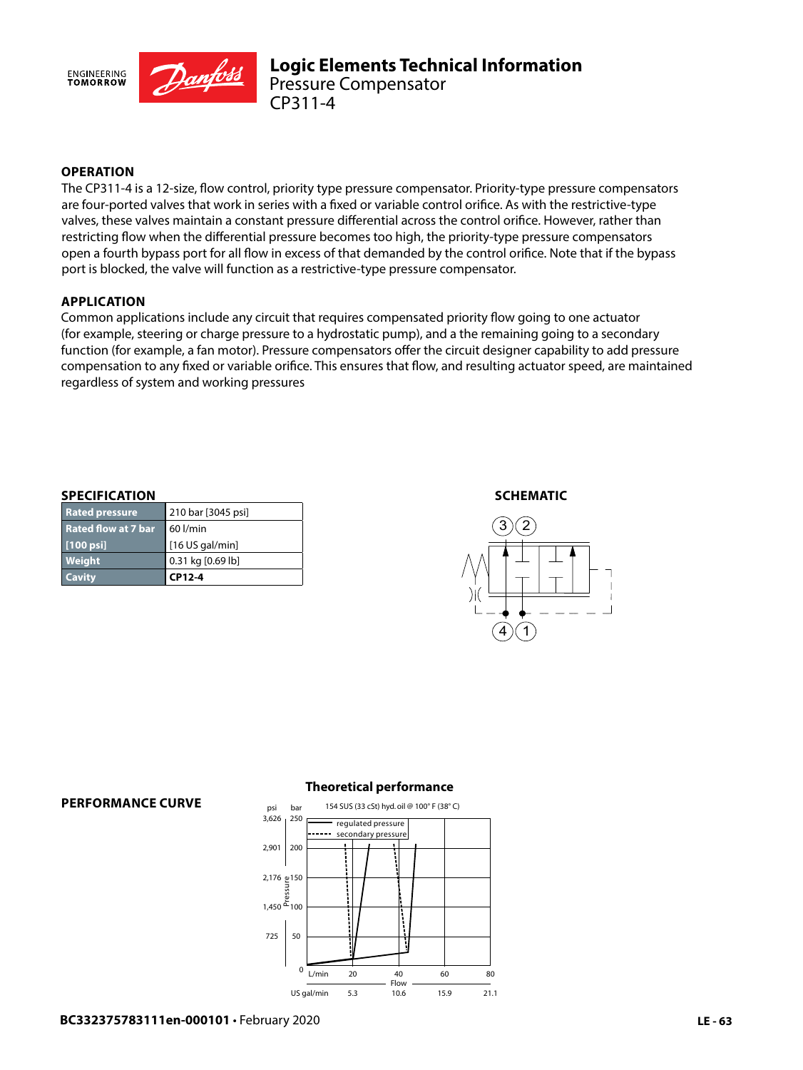

# **OPERATION**

The CP311-4 is a 12-size, flow control, priority type pressure compensator. Priority-type pressure compensators are four-ported valves that work in series with a fixed or variable control orifice. As with the restrictive-type valves, these valves maintain a constant pressure differential across the control orifice. However, rather than restricting flow when the differential pressure becomes too high, the priority-type pressure compensators open a fourth bypass port for all flow in excess of that demanded by the control orifice. Note that if the bypass port is blocked, the valve will function as a restrictive-type pressure compensator.

## **APPLICATION**

Common applications include any circuit that requires compensated priority flow going to one actuator (for example, steering or charge pressure to a hydrostatic pump), and a the remaining going to a secondary function (for example, a fan motor). Pressure compensators offer the circuit designer capability to add pressure compensation to any fixed or variable orifice. This ensures that flow, and resulting actuator speed, are maintained regardless of system and working pressures

## **SPECIFICATION**

| <b>Cavity</b>              | CP12-4             |
|----------------------------|--------------------|
| Weight                     | 0.31 kg [0.69 lb]  |
| $[100 \text{ psi}]$        | $[16$ US gal/min]  |
| <b>Rated flow at 7 bar</b> | $160$ l/min        |
| <b>Rated pressure</b>      | 210 bar [3045 psi] |

## **SCHEMATIC**



#### **PERFORMANCE CURVE**

## **Theoretical performance**